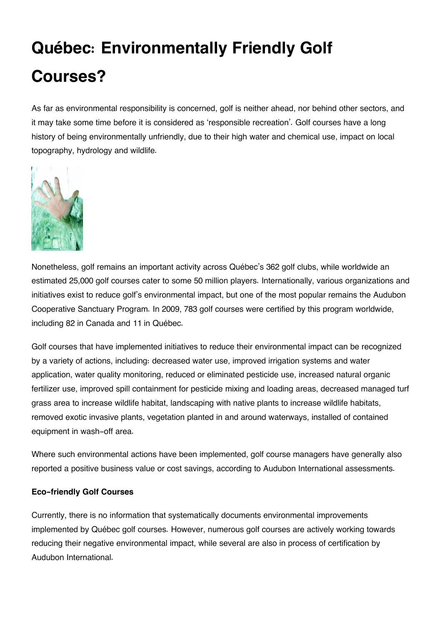## **Québec: Environmentally Friendly Golf Courses?**

As far as environmental responsibility is concerned, golf is neither ahead, nor behind other sectors, and it may take some time before it is considered as 'responsible recreation'. Golf courses have a long history of being environmentally unfriendly, due to their high water and chemical use, impact on local topography, hydrology and wildlife.



Nonetheless, golf remains an important activity across Québec's 362 golf clubs, while worldwide an estimated 25,000 golf courses cater to some 50 million players. Internationally, various organizations and initiatives exist to reduce golf's environmental impact, but one of the most popular remains the Audubon Cooperative Sanctuary Program. In 2009, 783 golf courses were certified by this program worldwide, including 82 in Canada and 11 in Québec.

Golf courses that have implemented initiatives to reduce their environmental impact can be recognized by a variety of actions, including: decreased water use, improved irrigation systems and water application, water quality monitoring, reduced or eliminated pesticide use, increased natural organic fertilizer use, improved spill containment for pesticide mixing and loading areas, decreased managed turf grass area to increase wildlife habitat, landscaping with native plants to increase wildlife habitats, removed exotic invasive plants, vegetation planted in and around waterways, installed of contained equipment in wash-off area.

Where such environmental actions have been implemented, golf course managers have generally also reported a positive business value or cost savings, according to Audubon International assessments.

## **Eco-friendly Golf Courses**

Currently, there is no information that systematically documents environmental improvements implemented by Québec golf courses. However, numerous golf courses are actively working towards reducing their negative environmental impact, while several are also in process of certification by Audubon International.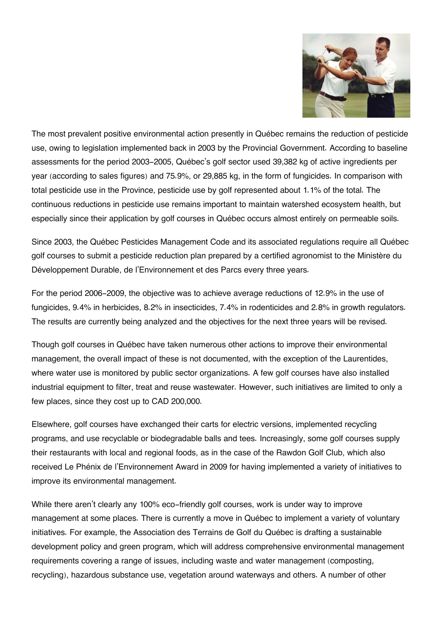

The most prevalent positive environmental action presently in Québec remains the reduction of pesticide use, owing to legislation implemented back in 2003 by the Provincial Government. According to baseline assessments for the period 2003-2005, Québec's golf sector used 39,382 kg of active ingredients per year (according to sales figures) and 75.9%, or 29,885 kg, in the form of fungicides. In comparison with total pesticide use in the Province, pesticide use by golf represented about 1.1% of the total. The continuous reductions in pesticide use remains important to maintain watershed ecosystem health, but especially since their application by golf courses in Québec occurs almost entirely on permeable soils.

Since 2003, the Québec Pesticides Management Code and its associated regulations require all Québec golf courses to submit a pesticide reduction plan prepared by a certified agronomist to the Ministère du Développement Durable, de l'Environnement et des Parcs every three years.

For the period 2006-2009, the objective was to achieve average reductions of 12.9% in the use of fungicides, 9.4% in herbicides, 8.2% in insecticides, 7.4% in rodenticides and 2.8% in growth regulators. The results are currently being analyzed and the objectives for the next three years will be revised.

Though golf courses in Québec have taken numerous other actions to improve their environmental management, the overall impact of these is not documented, with the exception of the Laurentides, where water use is monitored by public sector organizations. A few golf courses have also installed industrial equipment to filter, treat and reuse wastewater. However, such initiatives are limited to only a few places, since they cost up to CAD 200,000.

Elsewhere, golf courses have exchanged their carts for electric versions, implemented recycling programs, and use recyclable or biodegradable balls and tees. Increasingly, some golf courses supply their restaurants with local and regional foods, as in the case of the Rawdon Golf Club, which also received Le Phénix de l'Environnement Award in 2009 for having implemented a variety of initiatives to improve its environmental management.

While there aren't clearly any 100% eco-friendly golf courses, work is under way to improve management at some places. There is currently a move in Québec to implement a variety of voluntary initiatives. For example, the Association des Terrains de Golf du Québec is drafting a sustainable development policy and green program, which will address comprehensive environmental management requirements covering a range of issues, including waste and water management (composting, recycling), hazardous substance use, vegetation around waterways and others. A number of other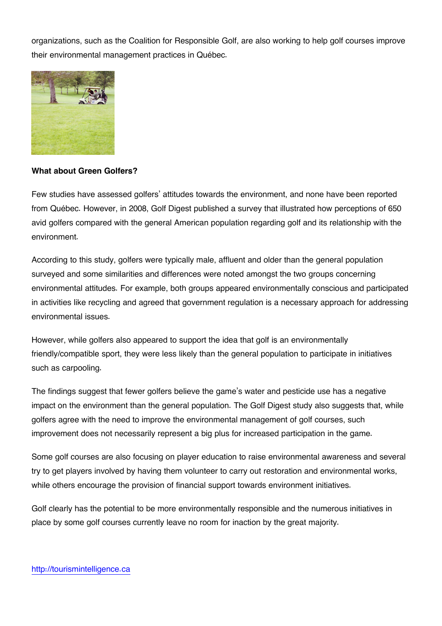organizations, such as the Coalition for Responsible Golf, are also working to help golf courses improve their environmental management practices in Québec.



## **What about Green Golfers?**

Few studies have assessed golfers' attitudes towards the environment, and none have been reported from Québec. However, in 2008, Golf Digest published a survey that illustrated how perceptions of 650 avid golfers compared with the general American population regarding golf and its relationship with the environment.

According to this study, golfers were typically male, affluent and older than the general population surveyed and some similarities and differences were noted amongst the two groups concerning environmental attitudes. For example, both groups appeared environmentally conscious and participated in activities like recycling and agreed that government regulation is a necessary approach for addressing environmental issues.

However, while golfers also appeared to support the idea that golf is an environmentally friendly/compatible sport, they were less likely than the general population to participate in initiatives such as carpooling.

The findings suggest that fewer golfers believe the game's water and pesticide use has a negative impact on the environment than the general population. The Golf Digest study also suggests that, while golfers agree with the need to improve the environmental management of golf courses, such improvement does not necessarily represent a big plus for increased participation in the game.

Some golf courses are also focusing on player education to raise environmental awareness and several try to get players involved by having them volunteer to carry out restoration and environmental works, while others encourage the provision of financial support towards environment initiatives.

Golf clearly has the potential to be more environmentally responsible and the numerous initiatives in place by some golf courses currently leave no room for inaction by the great majority.